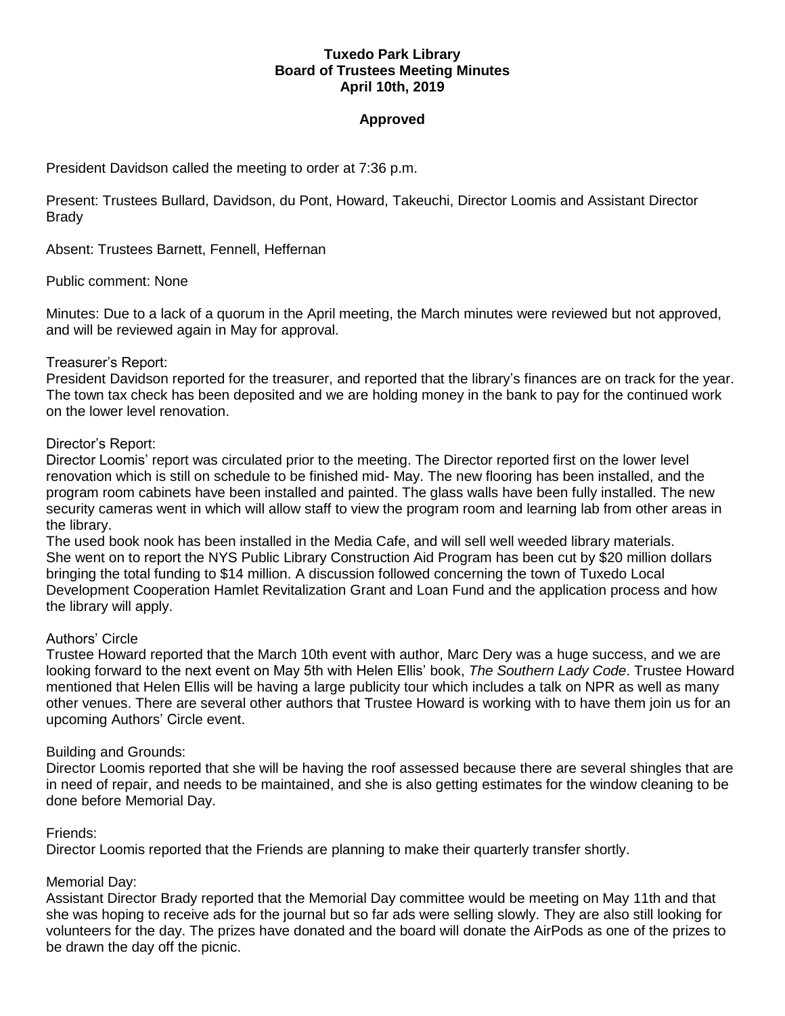## **Tuxedo Park Library Board of Trustees Meeting Minutes April 10th, 2019**

# **Approved**

President Davidson called the meeting to order at 7:36 p.m.

Present: Trustees Bullard, Davidson, du Pont, Howard, Takeuchi, Director Loomis and Assistant Director **Brady** 

Absent: Trustees Barnett, Fennell, Heffernan

## Public comment: None

Minutes: Due to a lack of a quorum in the April meeting, the March minutes were reviewed but not approved, and will be reviewed again in May for approval.

## Treasurer's Report:

President Davidson reported for the treasurer, and reported that the library's finances are on track for the year. The town tax check has been deposited and we are holding money in the bank to pay for the continued work on the lower level renovation.

## Director's Report:

Director Loomis' report was circulated prior to the meeting. The Director reported first on the lower level renovation which is still on schedule to be finished mid- May. The new flooring has been installed, and the program room cabinets have been installed and painted. The glass walls have been fully installed. The new security cameras went in which will allow staff to view the program room and learning lab from other areas in the library.

The used book nook has been installed in the Media Cafe, and will sell well weeded library materials. She went on to report the NYS Public Library Construction Aid Program has been cut by \$20 million dollars bringing the total funding to \$14 million. A discussion followed concerning the town of Tuxedo Local Development Cooperation Hamlet Revitalization Grant and Loan Fund and the application process and how the library will apply.

#### Authors' Circle

Trustee Howard reported that the March 10th event with author, Marc Dery was a huge success, and we are looking forward to the next event on May 5th with Helen Ellis' book, *The Southern Lady Code*. Trustee Howard mentioned that Helen Ellis will be having a large publicity tour which includes a talk on NPR as well as many other venues. There are several other authors that Trustee Howard is working with to have them join us for an upcoming Authors' Circle event.

#### Building and Grounds:

Director Loomis reported that she will be having the roof assessed because there are several shingles that are in need of repair, and needs to be maintained, and she is also getting estimates for the window cleaning to be done before Memorial Day.

#### Friends:

Director Loomis reported that the Friends are planning to make their quarterly transfer shortly.

# Memorial Day:

Assistant Director Brady reported that the Memorial Day committee would be meeting on May 11th and that she was hoping to receive ads for the journal but so far ads were selling slowly. They are also still looking for volunteers for the day. The prizes have donated and the board will donate the AirPods as one of the prizes to be drawn the day off the picnic.